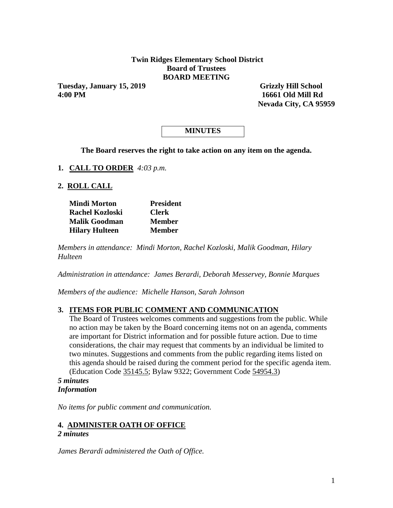### **Twin Ridges Elementary School District Board of Trustees BOARD MEETING**

**Tuesday, January 15, 2019 Grizzly Hill School 4:00 PM 16661 Old Mill Rd**

 **Nevada City, CA 95959** 

# **MINUTES**

**The Board reserves the right to take action on any item on the agenda.**

**1. CALL TO ORDER** *4:03 p.m.*

**2. ROLL CALL**

| <b>Mindi Morton</b>    | <b>President</b> |
|------------------------|------------------|
| <b>Rachel Kozloski</b> | <b>Clerk</b>     |
| <b>Malik Goodman</b>   | <b>Member</b>    |
| <b>Hilary Hulteen</b>  | <b>Member</b>    |

*Members in attendance: Mindi Morton, Rachel Kozloski, Malik Goodman, Hilary Hulteen*

*Administration in attendance: James Berardi, Deborah Messervey, Bonnie Marques*

*Members of the audience: Michelle Hanson, Sarah Johnson*

### **3. ITEMS FOR PUBLIC COMMENT AND COMMUNICATION**

The Board of Trustees welcomes comments and suggestions from the public. While no action may be taken by the Board concerning items not on an agenda, comments are important for District information and for possible future action. Due to time considerations, the chair may request that comments by an individual be limited to two minutes. Suggestions and comments from the public regarding items listed on this agenda should be raised during the comment period for the specific agenda item. (Education Code 35145.5; Bylaw 9322; Government Code 54954.3)

*5 minutes Information*

*No items for public comment and communication.*

### **4. ADMINISTER OATH OF OFFICE**

### *2 minutes*

*James Berardi administered the Oath of Office.*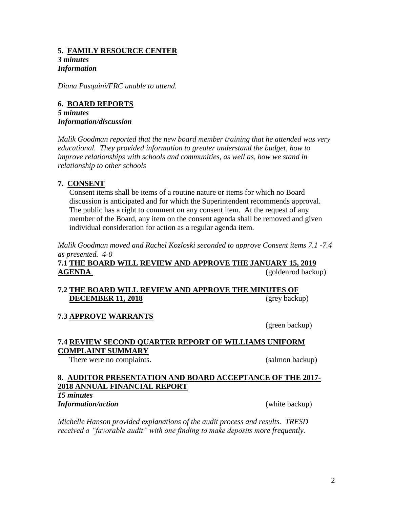# **5. FAMILY RESOURCE CENTER** *3 minutes*

# *Information*

*Diana Pasquini/FRC unable to attend.*

### **6. BOARD REPORTS**

*5 minutes Information/discussion*

*Malik Goodman reported that the new board member training that he attended was very educational. They provided information to greater understand the budget, how to improve relationships with schools and communities, as well as, how we stand in relationship to other schools*

### **7. CONSENT**

Consent items shall be items of a routine nature or items for which no Board discussion is anticipated and for which the Superintendent recommends approval. The public has a right to comment on any consent item. At the request of any member of the Board, any item on the consent agenda shall be removed and given individual consideration for action as a regular agenda item.

*Malik Goodman moved and Rachel Kozloski seconded to approve Consent items 7.1 -7.4 as presented. 4-0*

**7.1 THE BOARD WILL REVIEW AND APPROVE THE JANUARY 15, 2019 AGENDA** (goldenrod backup)

## **7.2 THE BOARD WILL REVIEW AND APPROVE THE MINUTES OF DECEMBER 11, 2018** (grey backup)

# **7.3 APPROVE WARRANTS**

(green backup)

## **7.4 REVIEW SECOND QUARTER REPORT OF WILLIAMS UNIFORM COMPLAINT SUMMARY**

There were no complaints. (salmon backup)

## **8. AUDITOR PRESENTATION AND BOARD ACCEPTANCE OF THE 2017- 2018 ANNUAL FINANCIAL REPORT**

*15 minutes Information/action* (white backup)

*Michelle Hanson provided explanations of the audit process and results. TRESD received a "favorable audit" with one finding to make deposits more frequently.*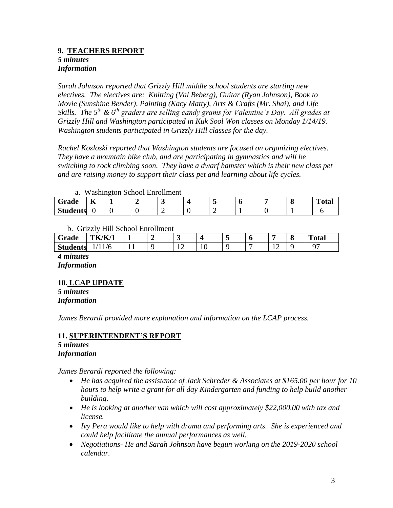### **9. TEACHERS REPORT** *5 minutes Information*

*Sarah Johnson reported that Grizzly Hill middle school students are starting new electives. The electives are: Knitting (Val Beberg), Guitar (Ryan Johnson), Book to Movie (Sunshine Bender), Painting (Kacy Matty), Arts & Crafts (Mr. Shai), and Life Skills. The 5th & 6th graders are selling candy grams for Valentine's Day. All grades at Grizzly Hill and Washington participated in Kuk Sool Won classes on Monday 1/14/19. Washington students participated in Grizzly Hill classes for the day.*

*Rachel Kozloski reported that Washington students are focused on organizing electives. They have a mountain bike club, and are participating in gymnastics and will be switching to rock climbing soon. They have a dwarf hamster which is their new class pet and are raising money to support their class pet and learning about life cycles.*

a. Washington School Enrollment

| $\sim$<br>Grade | $-$<br>17 |  |   |  |  | m<br>''otan |
|-----------------|-----------|--|---|--|--|-------------|
| <b>Students</b> |           |  | ∸ |  |  |             |

b. Grizzly Hill School Enrollment

| .<br>-------    |               |   |  |   |    |  |  |   |  |              |
|-----------------|---------------|---|--|---|----|--|--|---|--|--------------|
| Grade           | <b>TK/K/1</b> |   |  | ັ |    |  |  |   |  | <b>Total</b> |
| <b>Students</b> | . .           | . |  | ∸ | *∿ |  |  | ∸ |  | $\sim$       |

*4 minutes Information*

### **10. LCAP UPDATE**

*5 minutes Information*

*James Berardi provided more explanation and information on the LCAP process.*

#### **11. SUPERINTENDENT'S REPORT** *5 minutes Information*

*James Berardi reported the following:*

- *He has acquired the assistance of Jack Schreder & Associates at \$165.00 per hour for 10 hours to help write a grant for all day Kindergarten and funding to help build another building.*
- *He is looking at another van which will cost approximately \$22,000.00 with tax and license.*
- *Ivy Pera would like to help with drama and performing arts. She is experienced and could help facilitate the annual performances as well.*
- *Negotiations- He and Sarah Johnson have begun working on the 2019-2020 school calendar.*